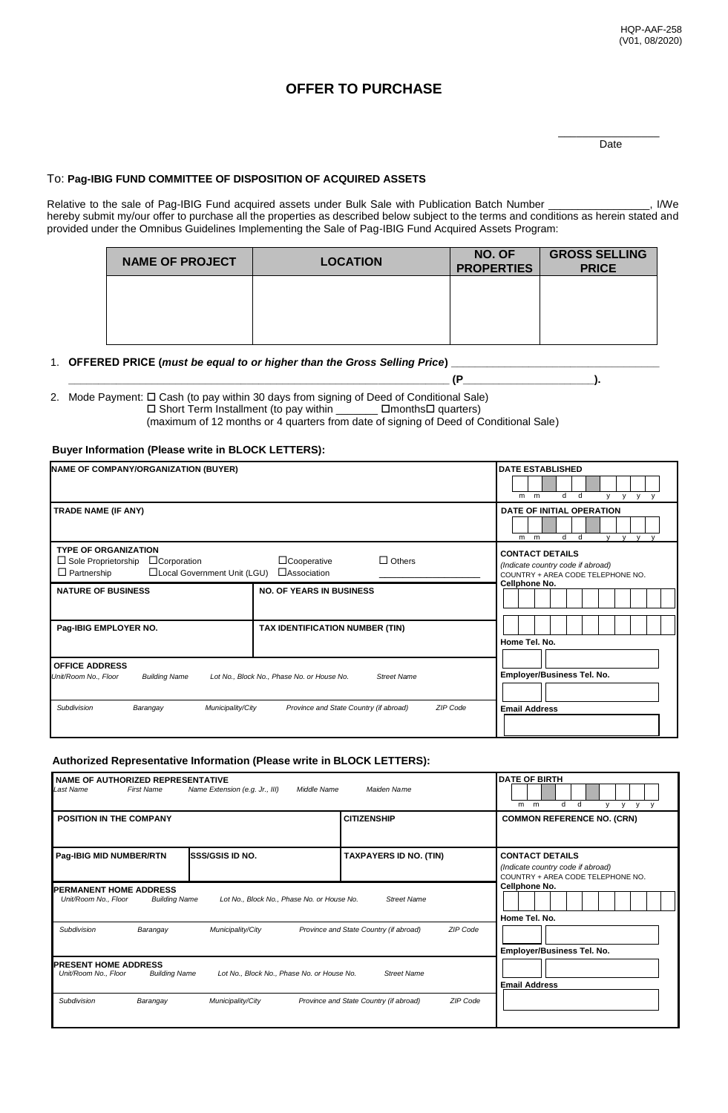# **OFFER TO PURCHASE**

\_\_\_\_\_\_\_\_\_\_\_\_\_\_\_\_\_ Date

## To: **Pag-IBIG FUND COMMITTEE OF DISPOSITION OF ACQUIRED ASSETS**

Relative to the sale of Pag-IBIG Fund acquired assets under Bulk Sale with Publication Batch Number \_\_\_\_\_\_\_\_\_\_\_\_\_\_\_, I/We hereby submit my/our offer to purchase all the properties as described below subject to the terms and conditions as herein stated and provided under the Omnibus Guidelines Implementing the Sale of Pag-IBIG Fund Acquired Assets Program:

| <b>NAME OF PROJECT</b> | <b>LOCATION</b> | NO. OF<br><b>PROPERTIES</b> | <b>GROSS SELLING</b><br><b>PRICE</b> |
|------------------------|-----------------|-----------------------------|--------------------------------------|
|                        |                 |                             |                                      |
|                        |                 |                             |                                      |
|                        |                 |                             |                                      |

### 1. **OFFERED PRICE** (must be equal to or higher than the Gross Selling Price)

2. Mode Payment:  $\square$  Cash (to pay within 30 days from signing of Deed of Conditional Sale)<br>  $\square$  Short Term Installment (to pay within  $\square$   $\square$   $\square$  months $\square$  quarters)  $\square$  Short Term Installment (to pay within  $\square$ (maximum of 12 months or 4 quarters from date of signing of Deed of Conditional Sale)

**\_\_\_\_\_\_\_\_\_\_\_\_\_\_\_\_\_\_\_\_\_\_\_\_\_\_\_\_\_\_\_\_\_\_\_\_\_\_\_\_\_\_\_\_\_\_\_\_\_\_\_\_\_\_\_\_\_\_\_\_\_\_\_\_ (P\_\_\_\_\_\_\_\_\_\_\_\_\_\_\_\_\_\_\_\_\_\_).**

#### **Buyer Information (Please write in BLOCK LETTERS):**

| <b>NAME OF COMPANY/ORGANIZATION (BUYER)</b>                                                                                           | <b>DATE ESTABLISHED</b><br>d<br>d<br>$m$ $m$<br>$\mathsf{v}$<br>$V$ $V$<br>v |                                                                                                  |
|---------------------------------------------------------------------------------------------------------------------------------------|------------------------------------------------------------------------------|--------------------------------------------------------------------------------------------------|
| TRADE NAME (IF ANY)                                                                                                                   | DATE OF INITIAL OPERATION<br>d d<br>V V V V<br>$m$ $m$                       |                                                                                                  |
| <b>TYPE OF ORGANIZATION</b><br>$\Box$ Sole Proprietorship<br>$\Box$ Corporation<br>$\Box$ Partnership<br>□Local Government Unit (LGU) | $\Box$ Others<br>$\Box$ Cooperative<br>$\Box$ Association                    | <b>CONTACT DETAILS</b><br>(Indicate country code if abroad)<br>COUNTRY + AREA CODE TELEPHONE NO. |
| <b>NATURE OF BUSINESS</b>                                                                                                             | <b>NO. OF YEARS IN BUSINESS</b>                                              | Cellphone No.                                                                                    |
| Pag-IBIG EMPLOYER NO.                                                                                                                 | TAX IDENTIFICATION NUMBER (TIN)                                              | Home Tel. No.                                                                                    |
| <b>OFFICE ADDRESS</b><br>Unit/Room No., Floor<br><b>Building Name</b>                                                                 | Lot No., Block No., Phase No. or House No.<br><b>Street Name</b>             | Employer/Business Tel. No.                                                                       |
| Subdivision<br>Municipality/City<br>Barangay                                                                                          | ZIP Code<br>Province and State Country (if abroad)                           | <b>Email Address</b>                                                                             |

#### **Authorized Representative Information (Please write in BLOCK LETTERS):**

| NAME OF AUTHORIZED REPRESENTATIVE<br>Last Name                                                                                                    | <b>First Name</b>    | Name Extension (e.g. Jr., III)<br>Middle Name | Maiden Name                                        | <b>DATE OF BIRTH</b><br>d<br>d<br>m<br>m<br>V<br>y                                               |
|---------------------------------------------------------------------------------------------------------------------------------------------------|----------------------|-----------------------------------------------|----------------------------------------------------|--------------------------------------------------------------------------------------------------|
| <b>POSITION IN THE COMPANY</b>                                                                                                                    |                      |                                               | <b>CITIZENSHIP</b>                                 | <b>COMMON REFERENCE NO. (CRN)</b>                                                                |
| Pag-IBIG MID NUMBER/RTN                                                                                                                           |                      | <b>SSS/GSIS ID NO.</b>                        | <b>TAXPAYERS ID NO. (TIN)</b>                      | <b>CONTACT DETAILS</b><br>(Indicate country code if abroad)<br>COUNTRY + AREA CODE TELEPHONE NO. |
| <b>PERMANENT HOME ADDRESS</b><br><b>Street Name</b><br>Unit/Room No., Floor<br><b>Building Name</b><br>Lot No., Block No., Phase No. or House No. |                      |                                               | Cellphone No.<br>Home Tel. No.                     |                                                                                                  |
| Subdivision                                                                                                                                       | Barangay             | Municipality/City                             | ZIP Code<br>Province and State Country (if abroad) | Employer/Business Tel. No.                                                                       |
| <b>PRESENT HOME ADDRESS</b><br>Unit/Room No., Floor                                                                                               | <b>Building Name</b> | Lot No., Block No., Phase No. or House No.    | <b>Street Name</b>                                 | <b>Email Address</b>                                                                             |
| Subdivision                                                                                                                                       | Barangay             | Municipality/City                             | Province and State Country (if abroad)<br>ZIP Code |                                                                                                  |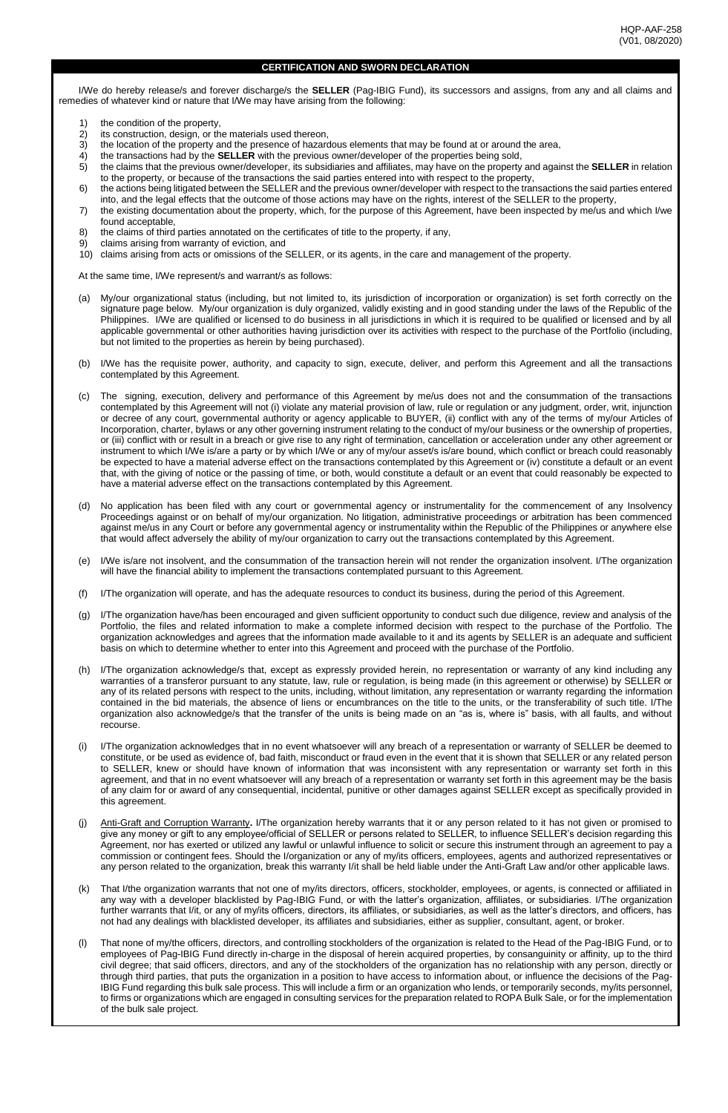#### **CERTIFICATION AND SWORN DECLARATION**

I/We do hereby release/s and forever discharge/s the **SELLER** (Pag-IBIG Fund), its successors and assigns, from any and all claims and remedies of whatever kind or nature that I/We may have arising from the following:

- 1) the condition of the property,<br>2) its construction, design, or the
- 2) its construction, design, or the materials used thereon,<br>3) the location of the property and the presence of hazard
- 3) the location of the property and the presence of hazardous elements that may be found at or around the area,<br>4) the transactions had by the **SELLER** with the previous owner/developer of the properties being sold.
- 4) the transactions had by the **SELLER** with the previous owner/developer of the properties being sold,<br>5) the claims that the previous owner/developer, its subsidiaries and affiliates, may have on the property
- 5) the claims that the previous owner/developer, its subsidiaries and affiliates, may have on the property and against the **SELLER** in relation to the property, or because of the transactions the said parties entered into with respect to the property,
- 6) the actions being litigated between the SELLER and the previous owner/developer with respect to the transactions the said parties entered into, and the legal effects that the outcome of those actions may have on the rights, interest of the SELLER to the property,
- 7) the existing documentation about the property, which, for the purpose of this Agreement, have been inspected by me/us and which I/we found acceptable,
- 8) the claims of third parties annotated on the certificates of title to the property, if any,
- 9) claims arising from warranty of eviction, and
- 10) claims arising from acts or omissions of the SELLER, or its agents, in the care and management of the property.

At the same time, I/We represent/s and warrant/s as follows:

- (a) My/our organizational status (including, but not limited to, its jurisdiction of incorporation or organization) is set forth correctly on the signature page below. My/our organization is duly organized, validly existing and in good standing under the laws of the Republic of the Philippines. I/We are qualified or licensed to do business in all jurisdictions in which it is required to be qualified or licensed and by all applicable governmental or other authorities having jurisdiction over its activities with respect to the purchase of the Portfolio (including, but not limited to the properties as herein by being purchased).
- (b) I/We has the requisite power, authority, and capacity to sign, execute, deliver, and perform this Agreement and all the transactions contemplated by this Agreement.
- (c) The signing, execution, delivery and performance of this Agreement by me/us does not and the consummation of the transactions contemplated by this Agreement will not (i) violate any material provision of law, rule or regulation or any judgment, order, writ, injunction or decree of any court, governmental authority or agency applicable to BUYER, (ii) conflict with any of the terms of my/our Articles of Incorporation, charter, bylaws or any other governing instrument relating to the conduct of my/our business or the ownership of properties, or (iii) conflict with or result in a breach or give rise to any right of termination, cancellation or acceleration under any other agreement or instrument to which I/We is/are a party or by which I/We or any of my/our asset/s is/are bound, which conflict or breach could reasonably be expected to have a material adverse effect on the transactions contemplated by this Agreement or (iv) constitute a default or an event that, with the giving of notice or the passing of time, or both, would constitute a default or an event that could reasonably be expected to have a material adverse effect on the transactions contemplated by this Agreement.
- (d) No application has been filed with any court or governmental agency or instrumentality for the commencement of any Insolvency Proceedings against or on behalf of my/our organization. No litigation, administrative proceedings or arbitration has been commenced against me/us in any Court or before any governmental agency or instrumentality within the Republic of the Philippines or anywhere else that would affect adversely the ability of my/our organization to carry out the transactions contemplated by this Agreement.
- (e) I/We is/are not insolvent, and the consummation of the transaction herein will not render the organization insolvent. I/The organization will have the financial ability to implement the transactions contemplated pursuant to this Agreement.
- (f) I/The organization will operate, and has the adequate resources to conduct its business, during the period of this Agreement.
- (g) I/The organization have/has been encouraged and given sufficient opportunity to conduct such due diligence, review and analysis of the Portfolio, the files and related information to make a complete informed decision with respect to the purchase of the Portfolio. The organization acknowledges and agrees that the information made available to it and its agents by SELLER is an adequate and sufficient basis on which to determine whether to enter into this Agreement and proceed with the purchase of the Portfolio.
- (h) I/The organization acknowledge/s that, except as expressly provided herein, no representation or warranty of any kind including any warranties of a transferor pursuant to any statute, law, rule or regulation, is being made (in this agreement or otherwise) by SELLER or any of its related persons with respect to the units, including, without limitation, any representation or warranty regarding the information contained in the bid materials, the absence of liens or encumbrances on the title to the units, or the transferability of such title. I/The organization also acknowledge/s that the transfer of the units is being made on an "as is, where is" basis, with all faults, and without recourse.
- (i) I/The organization acknowledges that in no event whatsoever will any breach of a representation or warranty of SELLER be deemed to constitute, or be used as evidence of, bad faith, misconduct or fraud even in the event that it is shown that SELLER or any related person to SELLER, knew or should have known of information that was inconsistent with any representation or warranty set forth in this agreement, and that in no event whatsoever will any breach of a representation or warranty set forth in this agreement may be the basis of any claim for or award of any consequential, incidental, punitive or other damages against SELLER except as specifically provided in this agreement.
- Anti-Graft and Corruption Warranty. I/The organization hereby warrants that it or any person related to it has not given or promised to give any money or gift to any employee/official of SELLER or persons related to SELLER, to influence SELLER's decision regarding this Agreement, nor has exerted or utilized any lawful or unlawful influence to solicit or secure this instrument through an agreement to pay a commission or contingent fees. Should the I/organization or any of my/its officers, employees, agents and authorized representatives or any person related to the organization, break this warranty I/it shall be held liable under the Anti-Graft Law and/or other applicable laws.
- (k) That I/the organization warrants that not one of my/its directors, officers, stockholder, employees, or agents, is connected or affiliated in any way with a developer blacklisted by Pag-IBIG Fund, or with the latter's organization, affiliates, or subsidiaries. I/The organization further warrants that I/it, or any of my/its officers, directors, its affiliates, or subsidiaries, as well as the latter's directors, and officers, has not had any dealings with blacklisted developer, its affiliates and subsidiaries, either as supplier, consultant, agent, or broker.
- (l) That none of my/the officers, directors, and controlling stockholders of the organization is related to the Head of the Pag-IBIG Fund, or to employees of Pag-IBIG Fund directly in-charge in the disposal of herein acquired properties, by consanguinity or affinity, up to the third civil degree; that said officers, directors, and any of the stockholders of the organization has no relationship with any person, directly or through third parties, that puts the organization in a position to have access to information about, or influence the decisions of the Pag-IBIG Fund regarding this bulk sale process. This will include a firm or an organization who lends, or temporarily seconds, my/its personnel, to firms or organizations which are engaged in consulting services for the preparation related to ROPA Bulk Sale, or for the implementation of the bulk sale project.